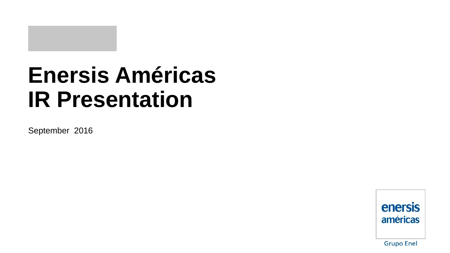# **Enersis Américas IR Presentation**

September 2016

enersis américas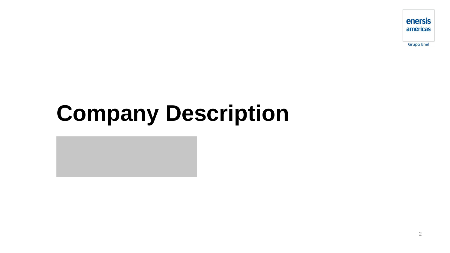# **Company Description**

enersis américas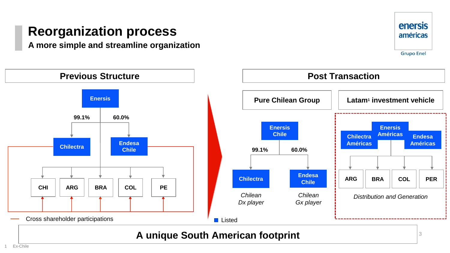### **Reorganization process**

**A more simple and streamline organization**



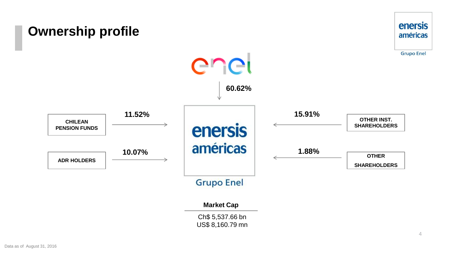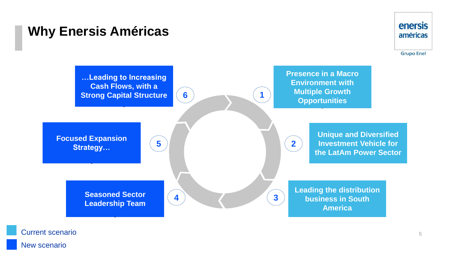### **Why Enersis Américas**



**Grupo Enel** 



New scenario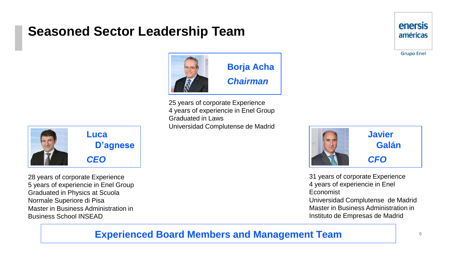### **Seasoned Sector Leadership Team**



25 years of corporate Experience 4 years of experiencie in Enel Group Graduated in Laws Universidad Complutense de Madrid



28 years of corporate Experience 5 years of experiencie in Enel Group Graduated in Physics at Scuola Normale Superiore di Pisa Master in Business Administration in Business School INSEAD



31 years of corporate Experience 4 years of experiencie in Enel Economist Universidad Complutense de Madrid Master in Business Administration in Instituto de Empresas de Madrid

### **Experienced Board Members and Management Team**

6

**enersis** américas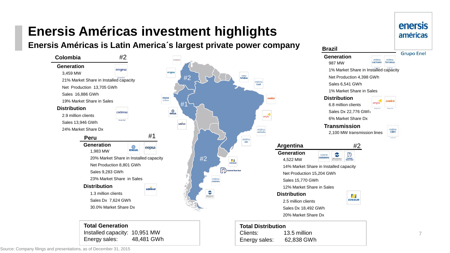**Enersis Américas is Latin America´s largest private power company**



enersis américas **Brazil Grupo Enel Generation** endesa endesa 987 MW cachoeira fortaleza 1% Market Share in Installed capacity Net Production 4,398 GWh Sales 6,541 GWh 1% Market Share in Sales **Distribution** 6.8 million clients Sales Dx 22,776 GWh 6% Market Share Dx **Transmission** 2,100 MW transmission lines cien **Argentina** #2 3  $\mathbb{D}$ central costanera Hidroeléctrica<br>El Chocón S.A. **Central**<br>Dock Sud 14% Market Share in Installed capacity Net Production 15,204 GWh 12% Market Share in Sales  $H$ **EDESUR** Sales Dx 18,492 GWh 20% Market Share Dx 7

Clients: 13.5 million Energy sales: 62,838 GWh

**Total Generation** Installed capacity: 10,951 MW Energy sales: 48,481 GWh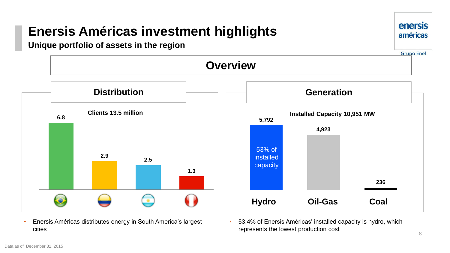#### **Unique portfolio of assets in the region**





- Enersis Américas distributes energy in South America's largest cities
- 53.4% of Enersis Américas' installed capacity is hydro, which represents the lowest production cost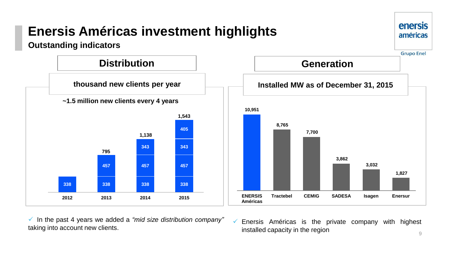

 In the past 4 years we added a *"mid size distribution company"* taking into account new clients.

9  $\checkmark$  Enersis Américas is the private company with highest installed capacity in the region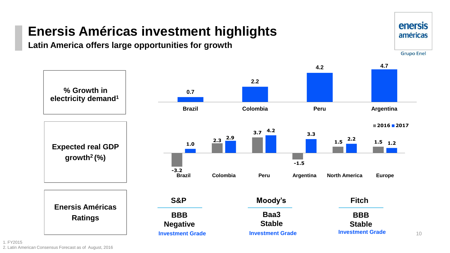**Latin America offers large opportunities for growth**



**enersis** américas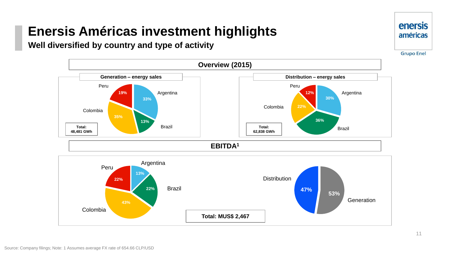#### **Well diversified by country and type of activity**





**Grupo Enel** 

**enersis** américas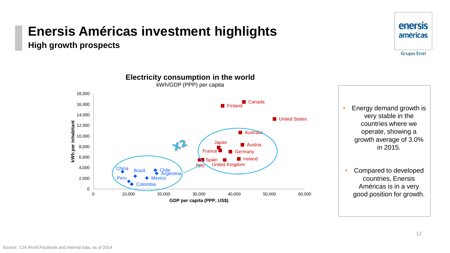**High growth prospects**



### enersis américas

**Grupo Enel** 

• Energy demand growth is very stable in the countries where we operate, showing a growth average of 3.0% in 2015.

• Compared to developed countries, Enersis Américas is in a very good position for growth.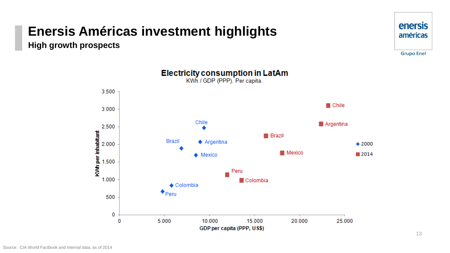**High growth prospects**





GDP per capita (PPP, US\$)

**Electricity consumption in LatAm**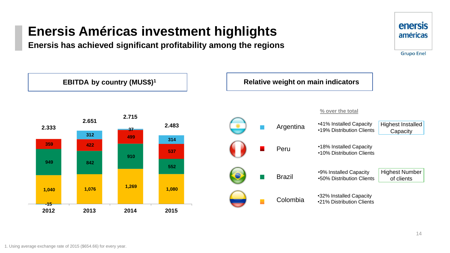**Enersis has achieved significant profitability among the regions**



**enersis** 

américas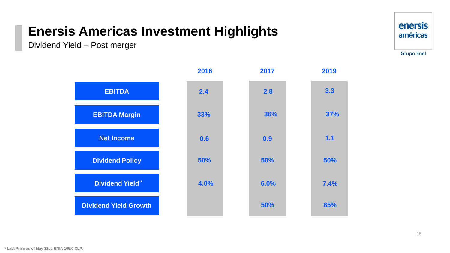Dividend Yield – Post merger



|                              | 2016 | 2017 | 2019       |
|------------------------------|------|------|------------|
| <b>EBITDA</b>                | 2.4  | 2.8  | 3.3        |
| <b>EBITDA Margin</b>         | 33%  | 36%  | <b>37%</b> |
| <b>Net Income</b>            | 0.6  | 0.9  | 1.1        |
| <b>Dividend Policy</b>       | 50%  | 50%  | 50%        |
| <b>Dividend Yield*</b>       | 4.0% | 6.0% | 7.4%       |
| <b>Dividend Yield Growth</b> |      | 50%  | 85%        |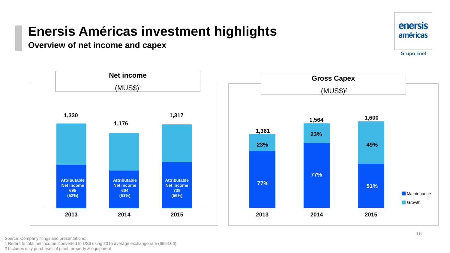**Overview of net income and capex**



1 Refers to total net income, converted to US\$ using 2015 average exchange rate (\$654.66). 2 Includes only purchases of plant, property & equipment

**Attributable Net Income 695 (52%)** 

**1,330**

**2013 2014 2015**

**Attributable Net Income 604 (51%)** 

**Attributable Net Income 738 (56%)** 

**1,317**

**Net income** 

 $(MUSS)^{1}$ 

**1,176**

**enersis** américas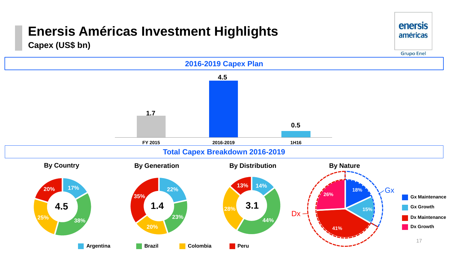**Capex (US\$ bn)**



enersis américas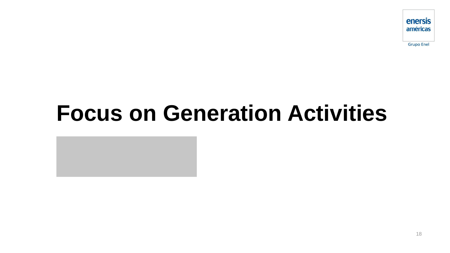

**Grupo Enel** 

# **Focus on Generation Activities**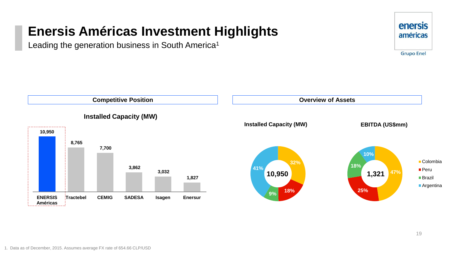Leading the generation business in South America<sup>1</sup>



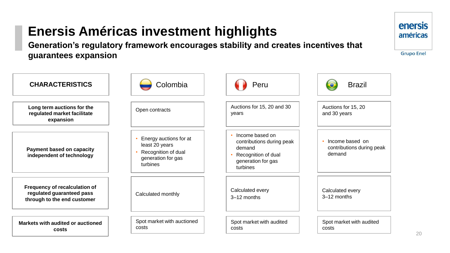**Generation's regulatory framework encourages stability and creates incentives that guarantees expansion**

**Colombia Allen Brazil Colombia Peru Brazil Long term auctions for the regulated market facilitate expansion Payment based on capacity independent of technology Frequency of recalculation of regulated guaranteed pass through to the end customer Markets with audited or auctioned costs**  Open contracts • Energy auctions for at least 20 years • Recognition of dual generation for gas turbines Calculated monthly Spot market with auctioned costs Auctions for 15, 20 and 30 years • Income based on contributions during peak demand • Recognition of dual generation for gas turbines Calculated every 3–12 months Spot market with audited costs Auctions for 15, 20 and 30 years • Income based on contributions during peak demand Calculated every 3–12 months Spot market with audited costs **CHARACTERISTICS**

**enersis** américas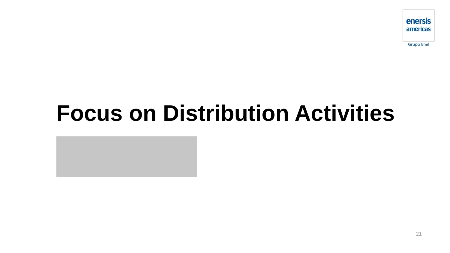

**Grupo Enel** 

# **Focus on Distribution Activities**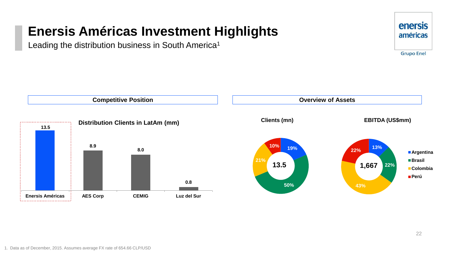Leading the distribution business in South America<sup>1</sup>



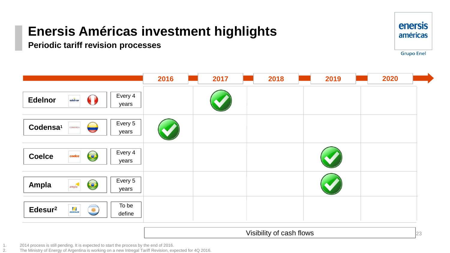**Periodic tariff revision processes**



23

|                                                          | 2016 | 2017 | 2018 | 2019 | 2020 |
|----------------------------------------------------------|------|------|------|------|------|
| Every 4<br><b>Edelnor</b><br>edelnor<br>years            |      |      |      |      |      |
| Every 5<br>Codensa <sup>1</sup><br>۳<br>years            |      |      |      |      |      |
| Every 4<br>$\bullet$<br><b>Coelce</b><br>coelce<br>years |      |      |      |      |      |
| Every 5<br>$\bullet$<br>Ampla<br>ampla<br>years          |      |      |      |      |      |
| To be<br>EDESLR<br>Edesur <sup>2</sup><br>define         |      |      |      |      |      |

Visibility of cash flows

1. 2014 process is still pending. It is expected to start the process by the end of 2016.<br>2. The Ministry of Energy of Argentina is working on a new Intregal Tariff Revision, exp

2. The Ministry of Energy of Argentina is working on a new Intregal Tariff Revision, expected for 4Q 2016.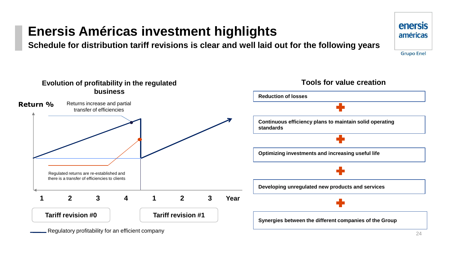**Schedule for distribution tariff revisions is clear and well laid out for the following years**



Regulatory profitability for an efficient company

**enersis** américas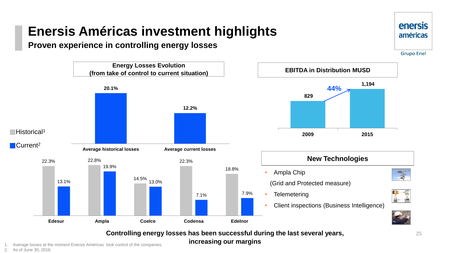#### **Proven experience in controlling energy losses**



**Controlling energy losses has been successful during the last several years, increasing our margins**

1. Average losses at the moment Enersis Américas took control of the companies.

2. As of June 30, 2016.

**enersis** américas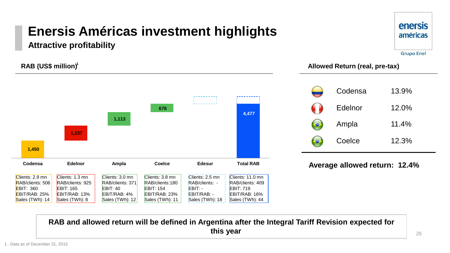**Attractive profitability**

**RAB (US\$ million)<sup>1</sup>** 



### **enersis** américas **Grupo Enel**

#### **RAB (US\$ million) Allowed Return (real, pre-tax)**

| Codensa | 13.9% |
|---------|-------|
| Edelnor | 12.0% |
| Ampla   | 11.4% |
| Coelce  | 12.3% |

#### **Average allowed return: 12.4%**

**RAB and allowed return will be defined in Argentina after the Integral Tariff Revision expected for this year**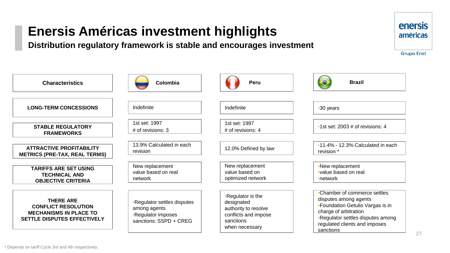**Distribution regulatory framework is stable and encourages investment**



\* Depends on tariff Cycle 3rd and 4th respectively.

**enersis** américas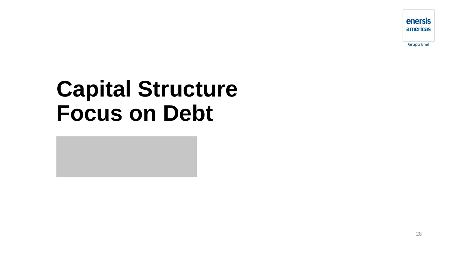enersis américas

**Grupo Enel** 

# **Capital Structure Focus on Debt**

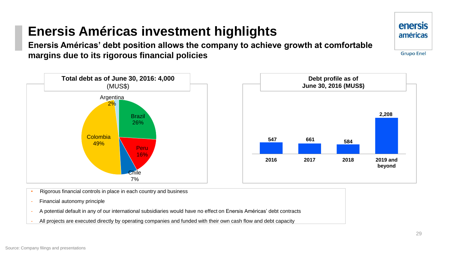**Enersis Américas' debt position allows the company to achieve growth at comfortable margins due to its rigorous financial policies**





**Debt profile as of** 

- Rigorous financial controls in place in each country and business
- Financial autonomy principle
- A potential default in any of our international subsidiaries would have no effect on Enersis Américas' debt contracts
- All projects are executed directly by operating companies and funded with their own cash flow and debt capacity

enersis américas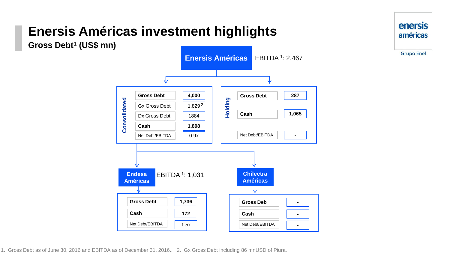**Gross Debt<sup>1</sup> (US\$ mn)**



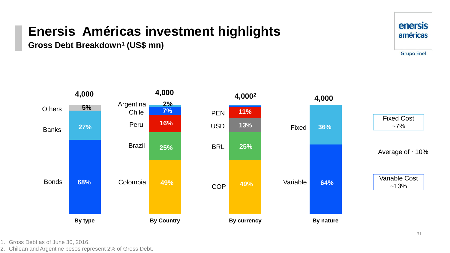**Gross Debt Breakdown<sup>1</sup> (US\$ mn)**





2. Chilean and Argentine pesos represent 2% of Gross Debt.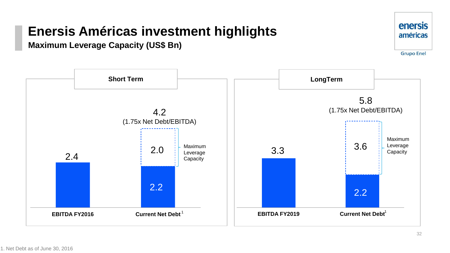**Maximum Leverage Capacity (US\$ Bn)**



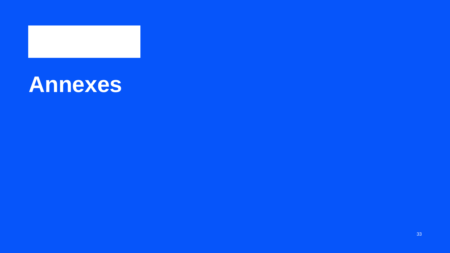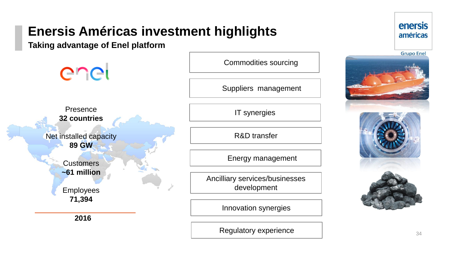**Taking advantage of Enel platform**

Commodities sourcing enel Suppliers management Presence IT synergies **32 countries** Net installed capacity R&D transfer **89 GW**  Energy management **Customers ~61 million** Ancilliary services/businesses development Employees **71,394** Innovation synergies  **2016**

Regulatory experience

### enersis américas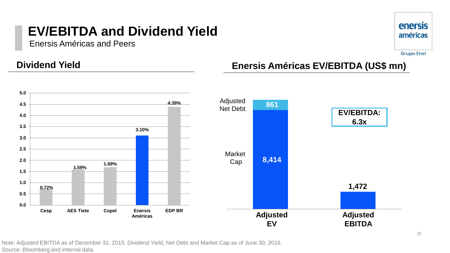### **EV/EBITDA and Dividend Yield**

Enersis Américas and Peers



**Grupo Enel** 

### **Dividend Yield**

### **Enersis Américas EV/EBITDA (US\$ mn)**



Note: Adjusted EBITDA as of December 31, 2015. Dividend Yield, Net Debt and Market Cap as of June 30, 2016. Source: Bloomberg and internal data.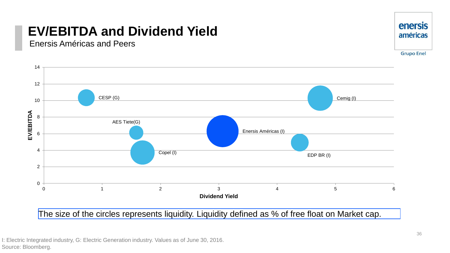### **EV/EBITDA and Dividend Yield**

Enersis Américas and Peers



The size of the circles represents liquidity. Liquidity defined as % of free float on Market cap.

**enersis** américas

I: Electric Integrated industry, G: Electric Generation industry. Values as of June 30, 2016. Source: Bloomberg.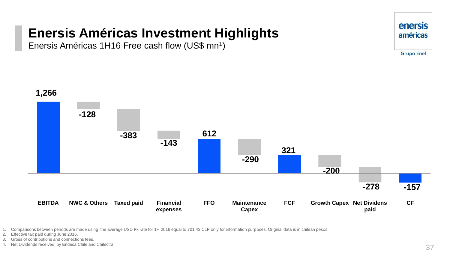Enersis Américas 1H16 Free cash flow (US\$ mn<sup>1</sup>)





1. Comparisons between periods are made using the average USD Fx rate for 1H 2016 equal to 701.43 CLP only for information purposes. Original data is in chilean pesos.

- 2. Effective tax paid during June 2016.
- 3. Gross of contributions and connections fees.
- 4. Net Dividends received by Endesa Chile and Chilectra.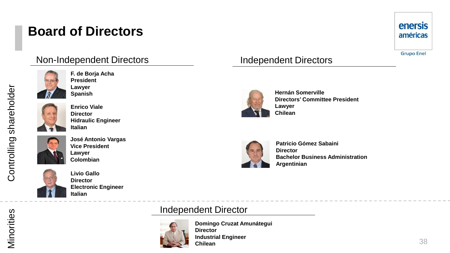### **Board of Directors**

### enersis américas

**Grupo Enel** 

# Non-Independent Directors

**F. de Borja Acha President Lawyer Spanish**



**Enrico Viale Director Hidraulic Engineer Italian**



**José Antonio Vargas Vice President Lawyer Colombian**



**Livio Gallo Director Electronic Engineer Italian**

### Independent Directors



**Hernán Somerville Directors' Committee President Lawyer Chilean**



**Patricio Gómez Sabaini Director Bachelor Business Administration Argentinian**

### Independent Director



**Domingo Cruzat Amunátegui Director Industrial Engineer Chilean**

shareholder

Controlling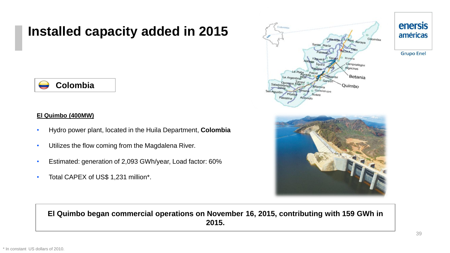### **Installed capacity added in 2015**

### **Colombia**

#### **El Quimbo (400MW)**

- Hydro power plant, located in the Huila Department, **Colombia**
- Utilizes the flow coming from the Magdalena River.
- Estimated: generation of 2,093 GWh/year, Load factor: 60%
- Total CAPEX of US\$ 1,231 million\*.



#### **El Quimbo began commercial operations on November 16, 2015, contributing with 159 GWh in 2015.**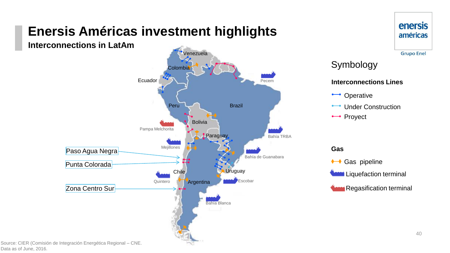**Interconnections in LatAm**